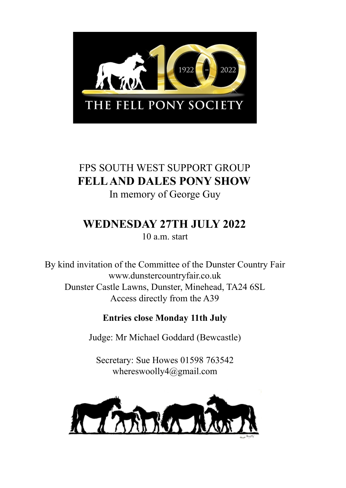

# FPS SOUTH WEST SUPPORT GROUP **FELLAND DALES PONY SHOW** In memory of George Guy

# **WEDNESDAY 27TH JULY 2022**

10 a.m. start

By kind invitation of the Committee of the Dunster Country Fair www.dunstercountryfair.co.uk Dunster Castle Lawns, Dunster, Minehead, TA24 6SL Access directly from the A39

## **Entries close Monday 11th July**

Judge: Mr Michael Goddard (Bewcastle)

Secretary: Sue Howes 01598 763542 whereswoolly4@gmail.com

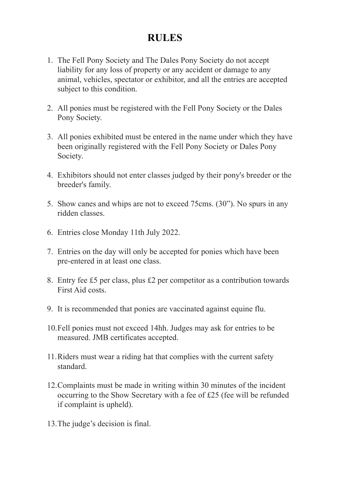## **RULES**

- 1. The Fell Pony Society and The Dales Pony Society do not accept liability for any loss of property or any accident or damage to any animal, vehicles, spectator or exhibitor, and all the entries are accepted subject to this condition.
- 2. All ponies must be registered with the Fell Pony Society or the Dales Pony Society.
- 3. All ponies exhibited must be entered in the name under which they have been originally registered with the Fell Pony Society or Dales Pony Society.
- 4. Exhibitors should not enter classes judged by their pony's breeder or the breeder's family.
- 5. Show canes and whips are not to exceed 75cms. (30"). No spurs in any ridden classes.
- 6. Entries close Monday 11th July 2022.
- 7. Entries on the day will only be accepted for ponies which have been pre-entered in at least one class.
- 8. Entry fee £5 per class, plus £2 per competitor as a contribution towards First Aid costs.
- 9. It is recommended that ponies are vaccinated against equine flu.
- 10.Fell ponies must not exceed 14hh. Judges may ask for entries to be measured. JMB certificates accepted.
- 11.Riders must wear a riding hat that complies with the current safety standard.
- 12.Complaints must be made in writing within 30 minutes of the incident occurring to the Show Secretary with a fee of £25 (fee will be refunded if complaint is upheld).
- 13.The judge's decision is final.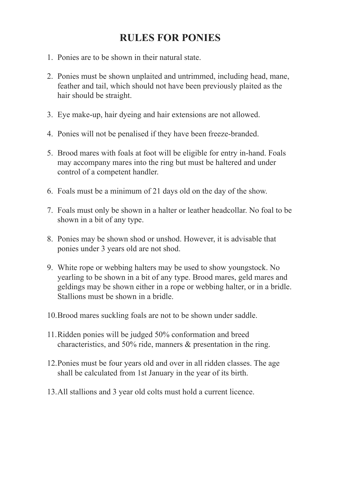## **RULES FOR PONIES**

- 1. Ponies are to be shown in their natural state.
- 2. Ponies must be shown unplaited and untrimmed, including head, mane, feather and tail, which should not have been previously plaited as the hair should be straight.
- 3. Eye make-up, hair dyeing and hair extensions are not allowed.
- 4. Ponies will not be penalised if they have been freeze-branded.
- 5. Brood mares with foals at foot will be eligible for entry in-hand. Foals may accompany mares into the ring but must be haltered and under control of a competent handler.
- 6. Foals must be a minimum of 21 days old on the day of the show.
- 7. Foals must only be shown in a halter or leather headcollar. No foal to be shown in a bit of any type.
- 8. Ponies may be shown shod or unshod. However, it is advisable that ponies under 3 years old are not shod.
- 9. White rope or webbing halters may be used to show youngstock. No yearling to be shown in a bit of any type. Brood mares, geld mares and geldings may be shown either in a rope or webbing halter, or in a bridle. Stallions must be shown in a bridle.
- 10.Brood mares suckling foals are not to be shown under saddle.
- 11.Ridden ponies will be judged 50% conformation and breed characteristics, and 50% ride, manners & presentation in the ring.
- 12.Ponies must be four years old and over in all ridden classes. The age shall be calculated from 1st January in the year of its birth.
- 13.All stallions and 3 year old colts must hold a current licence.